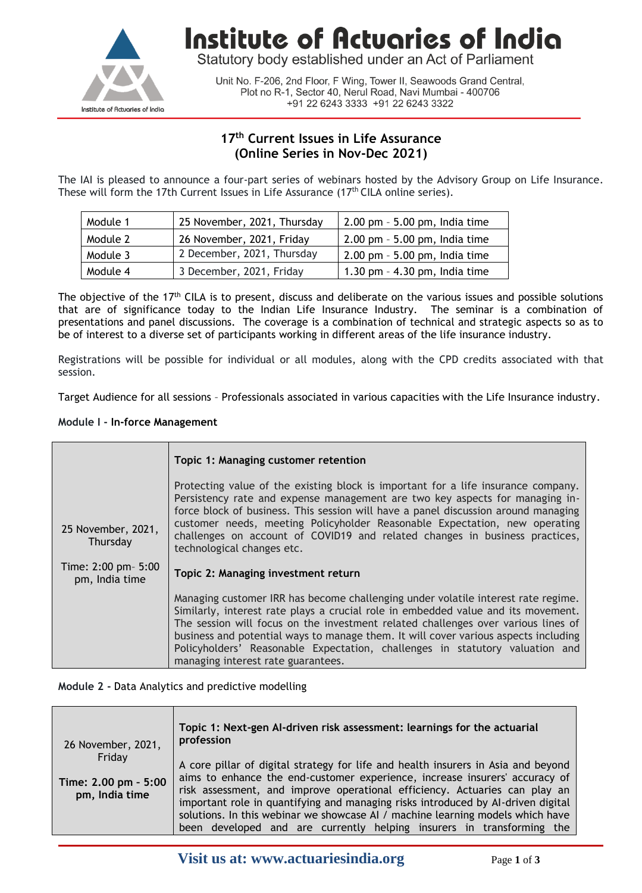

**Institute of Actuaries of India** 

Statutory body established under an Act of Parliament

Unit No. F-206, 2nd Floor, F Wing, Tower II, Seawoods Grand Central, Plot no R-1, Sector 40, Nerul Road, Navi Mumbai - 400706 +91 22 6243 3333 +91 22 6243 3322

## **17 th Current Issues in Life Assurance (Online Series in Nov-Dec 2021)**

The IAI is pleased to announce a four-part series of webinars hosted by the Advisory Group on Life Insurance. These will form the 17th Current Issues in Life Assurance  $(17<sup>th</sup>$  CILA online series).

| Module 1 | 25 November, 2021, Thursday | 2.00 pm - 5.00 pm, India time    |  |
|----------|-----------------------------|----------------------------------|--|
| Module 2 | 26 November, 2021, Friday   | $2.00$ pm $-5.00$ pm, India time |  |
| Module 3 | 2 December, 2021, Thursday  | 2.00 pm - 5.00 pm, India time    |  |
| Module 4 | 3 December, 2021, Friday    | 1.30 pm $-$ 4.30 pm, India time  |  |

The objective of the 17<sup>th</sup> CILA is to present, discuss and deliberate on the various issues and possible solutions that are of significance today to the Indian Life Insurance Industry. The seminar is a combination of presentations and panel discussions. The coverage is a combination of technical and strategic aspects so as to be of interest to a diverse set of participants working in different areas of the life insurance industry.

Registrations will be possible for individual or all modules, along with the CPD credits associated with that session.

Target Audience for all sessions – Professionals associated in various capacities with the Life Insurance industry.

#### **Module I - In-force Management**

|                                       | Topic 1: Managing customer retention                                                                                                                                                                                                                                                                                                                                                                                                                                     |  |
|---------------------------------------|--------------------------------------------------------------------------------------------------------------------------------------------------------------------------------------------------------------------------------------------------------------------------------------------------------------------------------------------------------------------------------------------------------------------------------------------------------------------------|--|
| 25 November, 2021,<br>Thursday        | Protecting value of the existing block is important for a life insurance company.<br>Persistency rate and expense management are two key aspects for managing in-<br>force block of business. This session will have a panel discussion around managing<br>customer needs, meeting Policyholder Reasonable Expectation, new operating<br>challenges on account of COVID19 and related changes in business practices,<br>technological changes etc.                       |  |
| Time: 2:00 pm- 5:00<br>pm, India time | Topic 2: Managing investment return                                                                                                                                                                                                                                                                                                                                                                                                                                      |  |
|                                       | Managing customer IRR has become challenging under volatile interest rate regime.<br>Similarly, interest rate plays a crucial role in embedded value and its movement.<br>The session will focus on the investment related challenges over various lines of<br>business and potential ways to manage them. It will cover various aspects including<br>Policyholders' Reasonable Expectation, challenges in statutory valuation and<br>managing interest rate guarantees. |  |

#### **Module 2 -** Data Analytics and predictive modelling

| 26 November, 2021,                     | Topic 1: Next-gen Al-driven risk assessment: learnings for the actuarial<br>profession                                                                                                                                                                                                                                          |
|----------------------------------------|---------------------------------------------------------------------------------------------------------------------------------------------------------------------------------------------------------------------------------------------------------------------------------------------------------------------------------|
| Friday                                 | A core pillar of digital strategy for life and health insurers in Asia and beyond                                                                                                                                                                                                                                               |
| Time: 2.00 pm - 5:00<br>pm, India time | aims to enhance the end-customer experience, increase insurers' accuracy of<br>risk assessment, and improve operational efficiency. Actuaries can play an<br>important role in quantifying and managing risks introduced by Al-driven digital<br>solutions. In this webinar we showcase AI / machine learning models which have |
|                                        | been developed and are currently helping insurers in transforming the                                                                                                                                                                                                                                                           |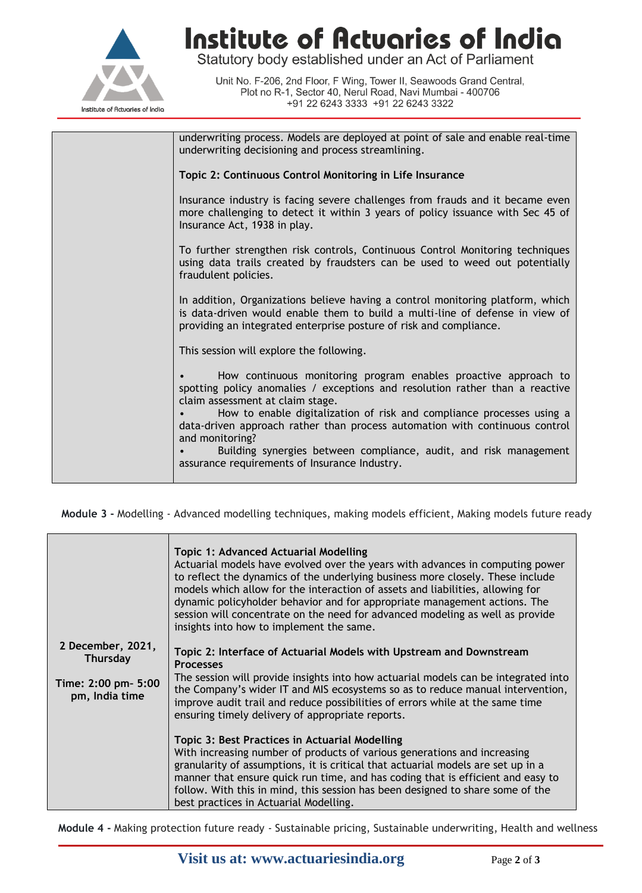

**Institute of Actuaries of India**<br>Statutory body established under an Act of Parliament

Unit No. F-206, 2nd Floor, F Wing, Tower II, Seawoods Grand Central, Plot no R-1, Sector 40, Nerul Road, Navi Mumbai - 400706 +91 22 6243 3333 +91 22 6243 3322

| underwriting process. Models are deployed at point of sale and enable real-time<br>underwriting decisioning and process streamlining.                                                                                                                                                                                                                                                                                                                                                |  |
|--------------------------------------------------------------------------------------------------------------------------------------------------------------------------------------------------------------------------------------------------------------------------------------------------------------------------------------------------------------------------------------------------------------------------------------------------------------------------------------|--|
| Topic 2: Continuous Control Monitoring in Life Insurance                                                                                                                                                                                                                                                                                                                                                                                                                             |  |
| Insurance industry is facing severe challenges from frauds and it became even<br>more challenging to detect it within 3 years of policy issuance with Sec 45 of<br>Insurance Act, 1938 in play.                                                                                                                                                                                                                                                                                      |  |
| To further strengthen risk controls, Continuous Control Monitoring techniques<br>using data trails created by fraudsters can be used to weed out potentially<br>fraudulent policies.                                                                                                                                                                                                                                                                                                 |  |
| In addition, Organizations believe having a control monitoring platform, which<br>is data-driven would enable them to build a multi-line of defense in view of<br>providing an integrated enterprise posture of risk and compliance.                                                                                                                                                                                                                                                 |  |
| This session will explore the following.                                                                                                                                                                                                                                                                                                                                                                                                                                             |  |
| How continuous monitoring program enables proactive approach to<br>spotting policy anomalies / exceptions and resolution rather than a reactive<br>claim assessment at claim stage.<br>How to enable digitalization of risk and compliance processes using a<br>data-driven approach rather than process automation with continuous control<br>and monitoring?<br>Building synergies between compliance, audit, and risk management<br>assurance requirements of Insurance Industry. |  |
|                                                                                                                                                                                                                                                                                                                                                                                                                                                                                      |  |

**Module 3 -** Modelling - Advanced modelling techniques, making models efficient, Making models future ready

| <b>Topic 1: Advanced Actuarial Modelling</b><br>Actuarial models have evolved over the years with advances in computing power<br>to reflect the dynamics of the underlying business more closely. These include<br>models which allow for the interaction of assets and liabilities, allowing for<br>dynamic policyholder behavior and for appropriate management actions. The<br>session will concentrate on the need for advanced modeling as well as provide<br>insights into how to implement the same. |
|-------------------------------------------------------------------------------------------------------------------------------------------------------------------------------------------------------------------------------------------------------------------------------------------------------------------------------------------------------------------------------------------------------------------------------------------------------------------------------------------------------------|
| Topic 2: Interface of Actuarial Models with Upstream and Downstream<br><b>Processes</b>                                                                                                                                                                                                                                                                                                                                                                                                                     |
| The session will provide insights into how actuarial models can be integrated into<br>the Company's wider IT and MIS ecosystems so as to reduce manual intervention,<br>improve audit trail and reduce possibilities of errors while at the same time<br>ensuring timely delivery of appropriate reports.                                                                                                                                                                                                   |
| Topic 3: Best Practices in Actuarial Modelling<br>With increasing number of products of various generations and increasing<br>granularity of assumptions, it is critical that actuarial models are set up in a<br>manner that ensure quick run time, and has coding that is efficient and easy to<br>follow. With this in mind, this session has been designed to share some of the<br>best practices in Actuarial Modelling.                                                                               |
|                                                                                                                                                                                                                                                                                                                                                                                                                                                                                                             |

**Module 4 -** Making protection future ready - Sustainable pricing, Sustainable underwriting, Health and wellness